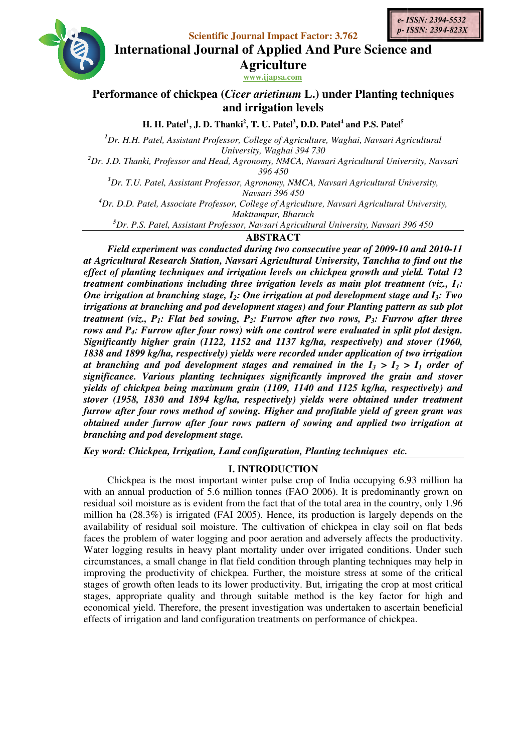**Scientific Journal Impact Factor: 3.762**





**International Journal Impact Factor: 3.762**<br>International Journal of Applied And Pure Science and **Agriculture**

**www.ijapsa.com** 

# Performance of chickpea (*Cicer arietinum* L.) under Planting techniques **and irrigation levels**

**H. H. Patel<sup>1</sup> , J. D. Thanki 2 , T. U. Patel<sup>3</sup> , D.D. Patel<sup>4</sup> and P.S. Patel<sup>5</sup>**

*<sup>1</sup>Dr. H.H. Patel, Assistant Professor, College of Agriculture, Waghai, Navsari Agricultural University, Waghai 394 730 Pr. H.H. Patel, Assistant Professor, College of Agriculture, Wagnery University, Waghai 394 730*<br>Dr. J.D. Thanki, Professor and Head, Agronomy, NMCA, Navsari Ag.<br>396 450<br><sup>3</sup>Dr. T.U. Patel, Assistant Professor, Agronomy, N

*<sup>2</sup>Dr. J.D. Thanki, Professor and Head, Agronomy, NMCA, Navsari Agricultural University, Navsari 396 450* 

<sup>3</sup>Dr. T.U. Patel, Assistant Professor, Agronomy, NMCA, Navsari Agricultural University, *Navsari 396 450* 

*<sup>4</sup>Dr. D.D. Patel, Associate Professor, College of Agriculture, Navsari Agricultural University, iate Navsari Makttampur, Bharuch* 

<sup>5</sup>Dr. P.S. Patel, Assistant Professor, Navsari Agricultural University, Navsari 396 450

# **ABSTRACT**

*Field experiment was conducted during two consecutive year of 2009-10 and 2010-11* at Agricultural Research Station, Navsari Agricultural University, Tanchha to find out the<br>effect of planting techniques and irrigation levels on chickpea growth and yield. Total 12 *effect of planting techniques and irrigation levels on chickpea growth and yield. Total 12 treatment combinations including three irrigation levels as main plot treatment (viz., I<sub>1</sub>: One irrigation at branching stage, I<sub>2</sub>: One irrigation at pod development stage and I<sub>3</sub>: Two* irrigations at branching and pod development stages) and four Planting pattern as sub plot *treatment (viz., P<sub>1</sub></sub>: Flat bed sowing, P<sub>2</sub><i>: Furrow after two rows, P<sub>3</sub></sub><i>: Furrow after three rows and P4: Furrow after four rows) with one control were evaluated in split plot design. Significantly higher grain (112 higher (1122, 1152 and 1137 kg/ha, respectively) and stover (1960 control in kg/ha, (1960,*  1838 and 1899 kg/ha, respectively) yields were recorded under application of two irrigation *at branching and pod development stages and remained in the*  $I_3 > I_2 > I_1$  *order of* significance. Various planting techniques significantly improved the grain and stover *yields of chickpea being maximum ng grain (1109, 1140 and 1125 kg/ha, respectively respectively) and stover (1958, 1830 and 1894 kg/ha, respectively) yields were obtained under treatment*  stover (1958, 1830 and 1894 kg/ha, respectively) yields were obtained under treatment<br>furrow after four rows method of sowing. Higher and profitable yield of green gram was<br>obtained under furrow after four rows pattern of *obtained under furrow after four rows pattern of sowing and applied two irrigation branching and pod development stage.* 

Key word: Chickpea, Irrigation, Land configuration, Planting techniques etc.

# **I. INTRODUCTION**

Chickpea is the most important winter pulse crop of India occupying 6.93 million ha with an annual production of 5.6 million tonnes (FAO 2006). It is predominantly grown on residual soil moisture as is evident from the fact that of the total area in the country, only 1.96 with an annual production of 5.6 million tonnes (FAO 2006). It is predominantly grown on residual soil moisture as is evident from the fact that of the total area in the country, only 1.96 million ha (28.3%) is irrigated ( availability of residual soil moisture. The cultivation of chickpea in clay soil on flat beds faces the problem of water logging and poor aeration and adversely affects the productivity. Water logging results in heavy plant mortality under over irrigated conditions. Under such circumstances, a small change in flat field condition through planting techniques may help in improving the productivity of chickpea. Further, the moisture stress at some of the critical stages of growth often leads to its lower productivity. But, irrigating the crop at most critical stages, appropriate quality and through suitable method is the key factor for high and stages, appropriate quality and through suitable method is the key factor for high and economical yield. Therefore, the present investigation was undertaken to ascertain beneficial stages of growth often leads to its lower productivity. But, irrigating the crop at n<br>stages, appropriate quality and through suitable method is the key factor for<br>economical yield. Therefore, the present investigation was the problem of water logging and poor aeration and adversely affects the productive logging results in heavy plant mortality under over irrigated conditions. Under strances, a small change in flat field condition through p with an annual production of 5.6 million tonnes (FAO 2006). It is predominantly grown on residual soil moisture as is evident from the fact that of the total area in the country, only 1.96 million ha (28.3%) is irrigated (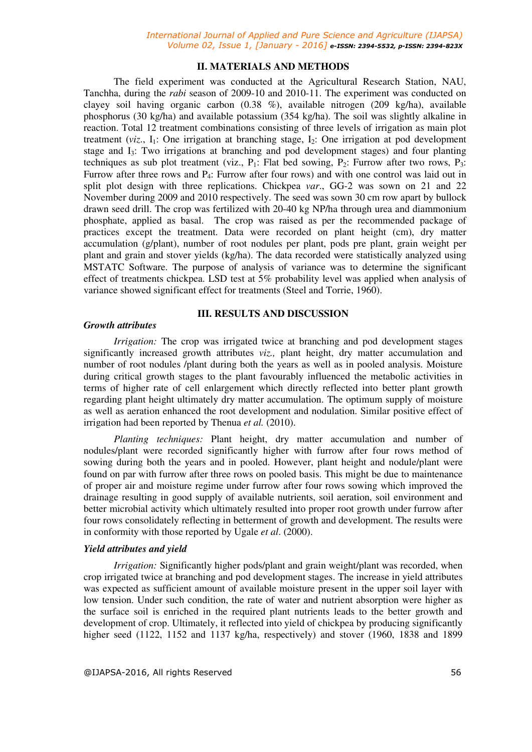## **II. MATERIALS AND METHODS**

 The field experiment was conducted at the Agricultural Research Station, NAU, Tanchha, during the *rabi* season of 2009-10 and 2010-11. The experiment was conducted on clayey soil having organic carbon (0.38 %), available nitrogen (209 kg/ha), available phosphorus (30 kg/ha) and available potassium (354 kg/ha). The soil was slightly alkaline in reaction. Total 12 treatment combinations consisting of three levels of irrigation as main plot treatment  $(viz, I<sub>1</sub>)$ : One irrigation at branching stage,  $I<sub>2</sub>$ : One irrigation at pod development stage and I3: Two irrigations at branching and pod development stages) and four planting techniques as sub plot treatment (viz.,  $P_1$ : Flat bed sowing,  $P_2$ : Furrow after two rows,  $P_3$ : Furrow after three rows and P4: Furrow after four rows) and with one control was laid out in split plot design with three replications. Chickpea *var*., GG-2 was sown on 21 and 22 November during 2009 and 2010 respectively. The seed was sown 30 cm row apart by bullock drawn seed drill. The crop was fertilized with 20-40 kg NP/ha through urea and diammonium phosphate, applied as basal. The crop was raised as per the recommended package of practices except the treatment. Data were recorded on plant height (cm), dry matter accumulation (g/plant), number of root nodules per plant, pods pre plant, grain weight per plant and grain and stover yields (kg/ha). The data recorded were statistically analyzed using MSTATC Software. The purpose of analysis of variance was to determine the significant effect of treatments chickpea. LSD test at 5% probability level was applied when analysis of variance showed significant effect for treatments (Steel and Torrie, 1960).

## **III. RESULTS AND DISCUSSION**

## *Growth attributes*

*Irrigation:* The crop was irrigated twice at branching and pod development stages significantly increased growth attributes *viz.,* plant height, dry matter accumulation and number of root nodules /plant during both the years as well as in pooled analysis. Moisture during critical growth stages to the plant favourably influenced the metabolic activities in terms of higher rate of cell enlargement which directly reflected into better plant growth regarding plant height ultimately dry matter accumulation. The optimum supply of moisture as well as aeration enhanced the root development and nodulation. Similar positive effect of irrigation had been reported by Thenua *et al.* (2010).

*Planting techniques:* Plant height, dry matter accumulation and number of nodules/plant were recorded significantly higher with furrow after four rows method of sowing during both the years and in pooled. However, plant height and nodule/plant were found on par with furrow after three rows on pooled basis. This might be due to maintenance of proper air and moisture regime under furrow after four rows sowing which improved the drainage resulting in good supply of available nutrients, soil aeration, soil environment and better microbial activity which ultimately resulted into proper root growth under furrow after four rows consolidately reflecting in betterment of growth and development. The results were in conformity with those reported by Ugale *et al*. (2000).

## *Yield attributes and yield*

 *Irrigation:* Significantly higher pods/plant and grain weight/plant was recorded, when crop irrigated twice at branching and pod development stages. The increase in yield attributes was expected as sufficient amount of available moisture present in the upper soil layer with low tension. Under such condition, the rate of water and nutrient absorption were higher as the surface soil is enriched in the required plant nutrients leads to the better growth and development of crop. Ultimately, it reflected into yield of chickpea by producing significantly higher seed (1122, 1152 and 1137 kg/ha, respectively) and stover (1960, 1838 and 1899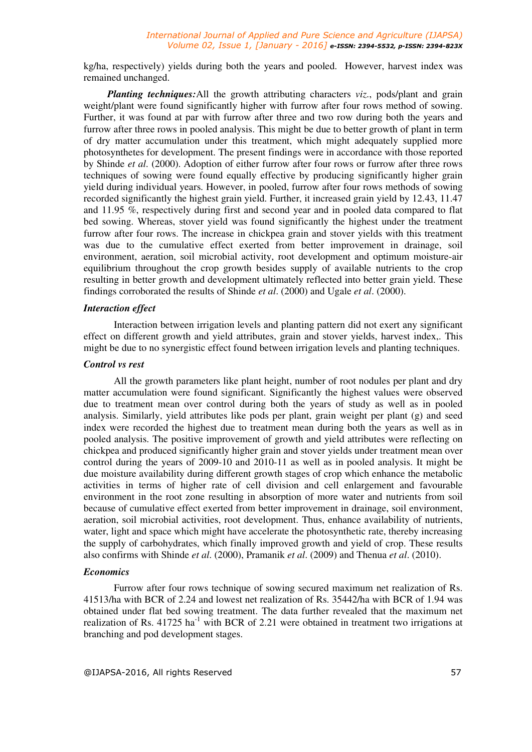kg/ha, respectively) yields during both the years and pooled. However, harvest index was remained unchanged.

*Planting techniques:*All the growth attributing characters *viz.*, pods/plant and grain weight/plant were found significantly higher with furrow after four rows method of sowing. Further, it was found at par with furrow after three and two row during both the years and furrow after three rows in pooled analysis. This might be due to better growth of plant in term of dry matter accumulation under this treatment, which might adequately supplied more photosynthetes for development. The present findings were in accordance with those reported by Shinde *et al*. (2000). Adoption of either furrow after four rows or furrow after three rows techniques of sowing were found equally effective by producing significantly higher grain yield during individual years. However, in pooled, furrow after four rows methods of sowing recorded significantly the highest grain yield. Further, it increased grain yield by 12.43, 11.47 and 11.95 %, respectively during first and second year and in pooled data compared to flat bed sowing. Whereas, stover yield was found significantly the highest under the treatment furrow after four rows. The increase in chickpea grain and stover yields with this treatment was due to the cumulative effect exerted from better improvement in drainage, soil environment, aeration, soil microbial activity, root development and optimum moisture-air equilibrium throughout the crop growth besides supply of available nutrients to the crop resulting in better growth and development ultimately reflected into better grain yield. These findings corroborated the results of Shinde *et al*. (2000) and Ugale *et al*. (2000).

#### *Interaction effect*

 Interaction between irrigation levels and planting pattern did not exert any significant effect on different growth and yield attributes, grain and stover yields, harvest index,. This might be due to no synergistic effect found between irrigation levels and planting techniques.

#### *Control vs rest*

 All the growth parameters like plant height, number of root nodules per plant and dry matter accumulation were found significant. Significantly the highest values were observed due to treatment mean over control during both the years of study as well as in pooled analysis. Similarly, yield attributes like pods per plant, grain weight per plant (g) and seed index were recorded the highest due to treatment mean during both the years as well as in pooled analysis. The positive improvement of growth and yield attributes were reflecting on chickpea and produced significantly higher grain and stover yields under treatment mean over control during the years of 2009-10 and 2010-11 as well as in pooled analysis. It might be due moisture availability during different growth stages of crop which enhance the metabolic activities in terms of higher rate of cell division and cell enlargement and favourable environment in the root zone resulting in absorption of more water and nutrients from soil because of cumulative effect exerted from better improvement in drainage, soil environment, aeration, soil microbial activities, root development. Thus, enhance availability of nutrients, water, light and space which might have accelerate the photosynthetic rate, thereby increasing the supply of carbohydrates, which finally improved growth and yield of crop. These results also confirms with Shinde *et al*. (2000), Pramanik *et al*. (2009) and Thenua *et al*. (2010).

## *Economics*

 Furrow after four rows technique of sowing secured maximum net realization of Rs. 41513/ha with BCR of 2.24 and lowest net realization of Rs. 35442/ha with BCR of 1.94 was obtained under flat bed sowing treatment. The data further revealed that the maximum net realization of Rs.  $41725$  ha<sup>-1</sup> with BCR of 2.21 were obtained in treatment two irrigations at branching and pod development stages.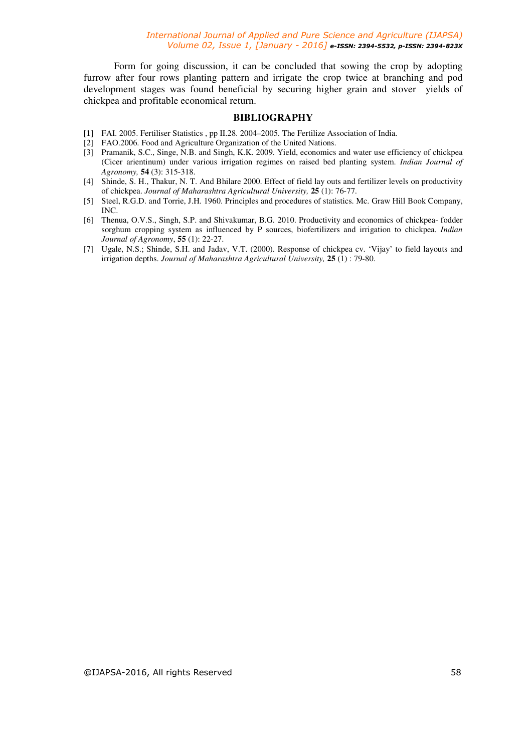Form for going discussion, it can be concluded that sowing the crop by adopting furrow after four rows planting pattern and irrigate the crop twice at branching and pod development stages was found beneficial by securing higher grain and stover yields of chickpea and profitable economical return.

## **BIBLIOGRAPHY**

- **[1]** FAI. 2005. Fertiliser Statistics , pp II.28. 2004–2005. The Fertilize Association of India.
- [2] FAO.2006. Food and Agriculture Organization of the United Nations.
- [3] Pramanik, S.C., Singe, N.B. and Singh, K.K. 2009. Yield, economics and water use efficiency of chickpea (Cicer arientinum) under various irrigation regimes on raised bed planting system. *Indian Journal of Agronomy,* **54** (3): 315-318.
- [4] Shinde, S. H., Thakur, N. T. And Bhilare 2000. Effect of field lay outs and fertilizer levels on productivity of chickpea. *Journal of Maharashtra Agricultural University,* **25** (1): 76-77.
- [5] Steel, R.G.D. and Torrie, J.H. 1960. Principles and procedures of statistics. Mc. Graw Hill Book Company, INC.
- [6] Thenua, O.V.S., Singh, S.P. and Shivakumar, B.G. 2010. Productivity and economics of chickpea- fodder sorghum cropping system as influenced by P sources, biofertilizers and irrigation to chickpea. *Indian Journal of Agronomy*, **55** (1): 22-27.
- [7] Ugale, N.S.; Shinde, S.H. and Jadav, V.T. (2000). Response of chickpea cv. 'Vijay' to field layouts and irrigation depths. *Journal of Maharashtra Agricultural University,* **25** (1) : 79-80.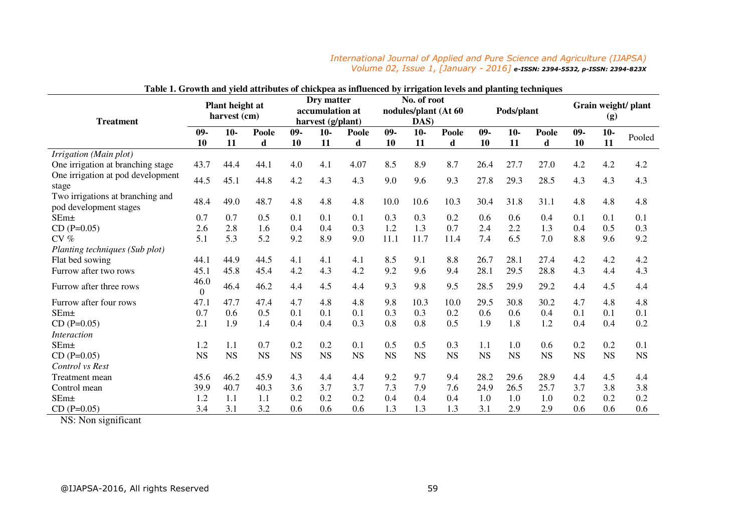### *International Journal of Applied and Pure Science and Agriculture (IJAPSA) Volume 02, Issue 1, [January - 2016] e-ISSN: 2394-5532, p-ISSN: 2394-823X*

| Table 1. Growth and yield attributes of chickpea as influenced by irrigation levels and planting techniques |                                 |             |                                                    |              |             |                                             |              |             |            |              |             |                            |              |             |           |
|-------------------------------------------------------------------------------------------------------------|---------------------------------|-------------|----------------------------------------------------|--------------|-------------|---------------------------------------------|--------------|-------------|------------|--------------|-------------|----------------------------|--------------|-------------|-----------|
| <b>Treatment</b>                                                                                            | Plant height at<br>harvest (cm) |             | Dry matter<br>accumulation at<br>harvest (g/plant) |              |             | No. of root<br>nodules/plant (At 60<br>DAS) |              |             | Pods/plant |              |             | Grain weight/ plant<br>(g) |              |             |           |
|                                                                                                             | $09-$<br>10                     | $10-$<br>11 | Poole<br>d                                         | $09 -$<br>10 | $10-$<br>11 | Poole<br>d                                  | $09 -$<br>10 | $10-$<br>11 | Poole<br>d | $09 -$<br>10 | $10-$<br>11 | Poole<br>d                 | $09 -$<br>10 | $10-$<br>11 | Pooled    |
| Irrigation (Main plot)                                                                                      |                                 |             |                                                    |              |             |                                             |              |             |            |              |             |                            |              |             |           |
| One irrigation at branching stage                                                                           | 43.7                            | 44.4        | 44.1                                               | 4.0          | 4.1         | 4.07                                        | 8.5          | 8.9         | 8.7        | 26.4         | 27.7        | 27.0                       | 4.2          | 4.2         | 4.2       |
| One irrigation at pod development<br>stage                                                                  | 44.5                            | 45.1        | 44.8                                               | 4.2          | 4.3         | 4.3                                         | 9.0          | 9.6         | 9.3        | 27.8         | 29.3        | 28.5                       | 4.3          | 4.3         | 4.3       |
| Two irrigations at branching and<br>pod development stages                                                  | 48.4                            | 49.0        | 48.7                                               | 4.8          | 4.8         | 4.8                                         | 10.0         | 10.6        | 10.3       | 30.4         | 31.8        | 31.1                       | 4.8          | 4.8         | 4.8       |
| SEm±                                                                                                        | 0.7                             | 0.7         | 0.5                                                | 0.1          | 0.1         | 0.1                                         | 0.3          | 0.3         | 0.2        | 0.6          | 0.6         | 0.4                        | 0.1          | 0.1         | 0.1       |
| $CD(P=0.05)$                                                                                                | 2.6                             | 2.8         | 1.6                                                | 0.4          | 0.4         | 0.3                                         | 1.2          | 1.3         | 0.7        | 2.4          | 2.2         | 1.3                        | 0.4          | 0.5         | 0.3       |
| $CV \%$                                                                                                     | 5.1                             | 5.3         | 5.2                                                | 9.2          | 8.9         | 9.0                                         | 11.1         | 11.7        | 11.4       | 7.4          | 6.5         | 7.0                        | 8.8          | 9.6         | 9.2       |
| Planting techniques (Sub plot)                                                                              |                                 |             |                                                    |              |             |                                             |              |             |            |              |             |                            |              |             |           |
| Flat bed sowing                                                                                             | 44.1                            | 44.9        | 44.5                                               | 4.1          | 4.1         | 4.1                                         | 8.5          | 9.1         | 8.8        | 26.7         | 28.1        | 27.4                       | 4.2          | 4.2         | 4.2       |
| Furrow after two rows                                                                                       | 45.1                            | 45.8        | 45.4                                               | 4.2          | 4.3         | 4.2                                         | 9.2          | 9.6         | 9.4        | 28.1         | 29.5        | 28.8                       | 4.3          | 4.4         | 4.3       |
| Furrow after three rows                                                                                     | 46.0<br>$\overline{0}$          | 46.4        | 46.2                                               | 4.4          | 4.5         | 4.4                                         | 9.3          | 9.8         | 9.5        | 28.5         | 29.9        | 29.2                       | 4.4          | 4.5         | 4.4       |
| Furrow after four rows                                                                                      | 47.1                            | 47.7        | 47.4                                               | 4.7          | 4.8         | 4.8                                         | 9.8          | 10.3        | 10.0       | 29.5         | 30.8        | 30.2                       | 4.7          | 4.8         | 4.8       |
| $SEm+$                                                                                                      | 0.7                             | 0.6         | 0.5                                                | 0.1          | 0.1         | 0.1                                         | 0.3          | 0.3         | 0.2        | 0.6          | 0.6         | 0.4                        | 0.1          | 0.1         | 0.1       |
| $CD (P=0.05)$                                                                                               | 2.1                             | 1.9         | 1.4                                                | 0.4          | 0.4         | 0.3                                         | 0.8          | 0.8         | 0.5        | 1.9          | 1.8         | 1.2                        | 0.4          | 0.4         | 0.2       |
| <i>Interaction</i>                                                                                          |                                 |             |                                                    |              |             |                                             |              |             |            |              |             |                            |              |             |           |
| $SEm\pm$                                                                                                    | 1.2                             | 1.1         | 0.7                                                | 0.2          | 0.2         | 0.1                                         | 0.5          | 0.5         | 0.3        | 1.1          | 1.0         | 0.6                        | 0.2          | 0.2         | 0.1       |
| $CD(P=0.05)$                                                                                                | <b>NS</b>                       | <b>NS</b>   | <b>NS</b>                                          | <b>NS</b>    | <b>NS</b>   | <b>NS</b>                                   | <b>NS</b>    | <b>NS</b>   | <b>NS</b>  | <b>NS</b>    | <b>NS</b>   | <b>NS</b>                  | <b>NS</b>    | <b>NS</b>   | <b>NS</b> |
| Control vs Rest                                                                                             |                                 |             |                                                    |              |             |                                             |              |             |            |              |             |                            |              |             |           |
| Treatment mean                                                                                              | 45.6                            | 46.2        | 45.9                                               | 4.3          | 4.4         | 4.4                                         | 9.2          | 9.7         | 9.4        | 28.2         | 29.6        | 28.9                       | 4.4          | 4.5         | 4.4       |
| Control mean                                                                                                | 39.9                            | 40.7        | 40.3                                               | 3.6          | 3.7         | 3.7                                         | 7.3          | 7.9         | 7.6        | 24.9         | 26.5        | 25.7                       | 3.7          | 3.8         | 3.8       |
| SEm±                                                                                                        | 1.2                             | 1.1         | 1.1                                                | 0.2          | 0.2         | 0.2                                         | 0.4          | 0.4         | 0.4        | 1.0          | 1.0         | 1.0                        | 0.2          | 0.2         | 0.2       |
| $CD (P=0.05)$                                                                                               | 3.4                             | 3.1         | 3.2                                                | 0.6          | 0.6         | $0.6^{\circ}$                               | 1.3          | 1.3         | 1.3        | 3.1          | 2.9         | 2.9                        | 0.6          | 0.6         | 0.6       |

| Table 1. Growth and yield attributes of chickpea as influenced by irrigation levels and planting techniques |  |  |
|-------------------------------------------------------------------------------------------------------------|--|--|
|-------------------------------------------------------------------------------------------------------------|--|--|

NS: Non significant